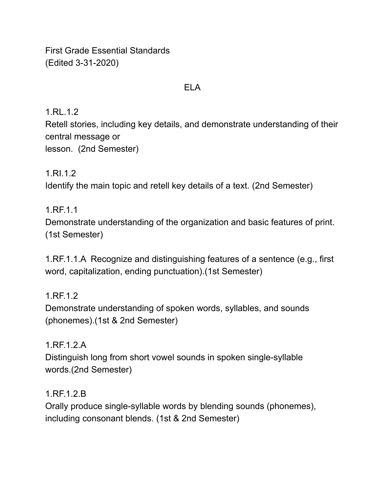First Grade Essential Standards (Edited 3-31-2020)

### ELA

1.RL.1.2

Retell stories, including key details, and demonstrate understanding of their central message or lesson. (2nd Semester)

1.RI.1.2 Identify the main topic and retell key details of a text. (2nd Semester)

1.RF.1.1 Demonstrate understanding of the organization and basic features of print. (1st Semester)

1.RF.1.1.A Recognize and distinguishing features of a sentence (e.g., first word, capitalization, ending punctuation).(1st Semester)

1.RF.1.2 Demonstrate understanding of spoken words, syllables, and sounds (phonemes).(1st & 2nd Semester)

1.RF.1.2.A Distinguish long from short vowel sounds in spoken single-syllable words.(2nd Semester)

1.RF.1.2.B Orally produce single-syllable words by blending sounds (phonemes), including consonant blends. (1st & 2nd Semester)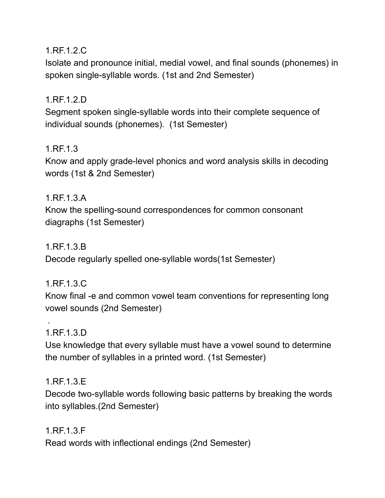1.RF.1.2.C

Isolate and pronounce initial, medial vowel, and final sounds (phonemes) in spoken single-syllable words. (1st and 2nd Semester)

# 1.RF.1.2.D

Segment spoken single-syllable words into their complete sequence of individual sounds (phonemes). (1st Semester)

### 1.RF.1.3

Know and apply grade-level phonics and word analysis skills in decoding words (1st & 2nd Semester)

#### 1.RF.1.3.A

Know the spelling-sound correspondences for common consonant diagraphs (1st Semester)

1.RF.1.3.B

Decode regularly spelled one-syllable words(1st Semester)

### 1.RF.1.3.C

Know final -e and common vowel team conventions for representing long vowel sounds (2nd Semester)

### 1.RF.1.3.D

.

Use knowledge that every syllable must have a vowel sound to determine the number of syllables in a printed word. (1st Semester)

### 1.RF.1.3.E

Decode two-syllable words following basic patterns by breaking the words into syllables.(2nd Semester)

1.RF.1.3.F Read words with inflectional endings (2nd Semester)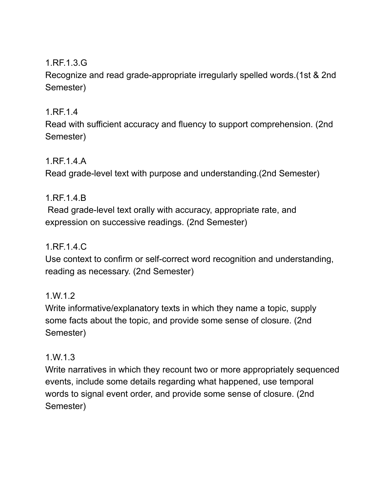# 1.RF.1.3.G

Recognize and read grade-appropriate irregularly spelled words.(1st & 2nd Semester)

## 1.RF.1.4

Read with sufficient accuracy and fluency to support comprehension. (2nd Semester)

### 1.RF.1.4.A

Read grade-level text with purpose and understanding.(2nd Semester)

### 1.RF.1.4.B

Read grade-level text orally with accuracy, appropriate rate, and expression on successive readings. (2nd Semester)

### 1.RF.1.4.C

Use context to confirm or self-correct word recognition and understanding, reading as necessary. (2nd Semester)

### 1.W.1.2

Write informative/explanatory texts in which they name a topic, supply some facts about the topic, and provide some sense of closure. (2nd Semester)

### 1.W.1.3

Write narratives in which they recount two or more appropriately sequenced events, include some details regarding what happened, use temporal words to signal event order, and provide some sense of closure. (2nd Semester)